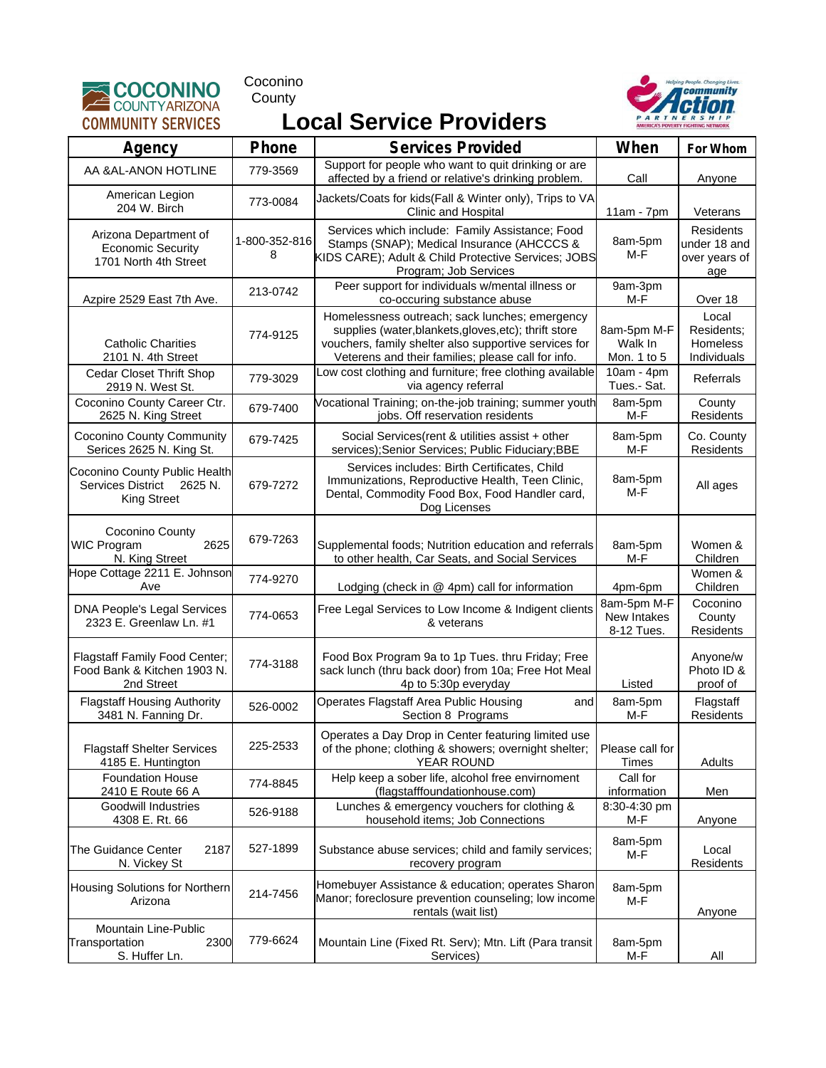

Coconino **County** 



## **Local Service Providers**

| Agency                                                                            | Phone              | <b>Services Provided</b>                                                                                                                                                                                               | When                                     | For Whom                                          |
|-----------------------------------------------------------------------------------|--------------------|------------------------------------------------------------------------------------------------------------------------------------------------------------------------------------------------------------------------|------------------------------------------|---------------------------------------------------|
| AA & AL-ANON HOTLINE                                                              | 779-3569           | Support for people who want to quit drinking or are<br>affected by a friend or relative's drinking problem.                                                                                                            | Call                                     | Anyone                                            |
| American Legion<br>204 W. Birch                                                   | 773-0084           | Jackets/Coats for kids(Fall & Winter only), Trips to VA<br>Clinic and Hospital                                                                                                                                         | $11am - 7pm$                             | Veterans                                          |
| Arizona Department of<br><b>Economic Security</b><br>1701 North 4th Street        | 1-800-352-816<br>8 | Services which include: Family Assistance; Food<br>Stamps (SNAP); Medical Insurance (AHCCCS &<br>KIDS CARE); Adult & Child Protective Services; JOBS<br>Program; Job Services                                          | 8am-5pm<br>M-F                           | Residents<br>under 18 and<br>over years of<br>age |
| Azpire 2529 East 7th Ave.                                                         | 213-0742           | Peer support for individuals w/mental illness or<br>co-occuring substance abuse                                                                                                                                        | 9am-3pm<br>M-F                           | Over 18                                           |
| <b>Catholic Charities</b><br>2101 N. 4th Street                                   | 774-9125           | Homelessness outreach; sack lunches; emergency<br>supplies (water, blankets, gloves, etc); thrift store<br>vouchers, family shelter also supportive services for<br>Veterens and their families; please call for info. | 8am-5pm M-F<br>Walk In<br>Mon. 1 to 5    | Local<br>Residents:<br>Homeless<br>Individuals    |
| Cedar Closet Thrift Shop<br>2919 N. West St.                                      | 779-3029           | Low cost clothing and furniture; free clothing available<br>via agency referral                                                                                                                                        | $10am - 4pm$<br>Tues.- Sat.              | Referrals                                         |
| Coconino County Career Ctr.<br>2625 N. King Street                                | 679-7400           | Vocational Training; on-the-job training; summer youth<br>jobs. Off reservation residents                                                                                                                              | 8am-5pm<br>M-F                           | County<br>Residents                               |
| <b>Coconino County Community</b><br>Serices 2625 N. King St.                      | 679-7425           | Social Services (rent & utilities assist + other<br>services); Senior Services; Public Fiduciary; BBE                                                                                                                  | 8am-5pm<br>M-F                           | Co. County<br>Residents                           |
| Coconino County Public Health<br>Services District 2625 N.<br><b>King Street</b>  | 679-7272           | Services includes: Birth Certificates, Child<br>Immunizations, Reproductive Health, Teen Clinic,<br>Dental, Commodity Food Box, Food Handler card,<br>Dog Licenses                                                     | 8am-5pm<br>$M-F$                         | All ages                                          |
| Coconino County<br><b>WIC Program</b><br>2625<br>N. King Street                   | 679-7263           | Supplemental foods; Nutrition education and referrals<br>to other health, Car Seats, and Social Services                                                                                                               | 8am-5pm<br>M-F                           | Women &<br>Children                               |
| Hope Cottage 2211 E. Johnson<br>Ave                                               | 774-9270           | Lodging (check in $@$ 4pm) call for information                                                                                                                                                                        | 4pm-6pm                                  | Women &<br>Children                               |
| <b>DNA People's Legal Services</b><br>2323 E. Greenlaw Ln. #1                     | 774-0653           | Free Legal Services to Low Income & Indigent clients<br>& veterans                                                                                                                                                     | 8am-5pm M-F<br>New Intakes<br>8-12 Tues. | Coconino<br>County<br>Residents                   |
| <b>Flagstaff Family Food Center;</b><br>Food Bank & Kitchen 1903 N.<br>2nd Street | 774-3188           | Food Box Program 9a to 1p Tues. thru Friday; Free<br>sack lunch (thru back door) from 10a; Free Hot Meal<br>4p to 5:30p everyday                                                                                       | Listed                                   | Anyone/w<br>Photo ID &<br>proof of                |
| <b>Flagstaff Housing Authority</b><br>3481 N. Fanning Dr.                         | 526-0002           | Operates Flagstaff Area Public Housing<br>and<br>Section 8 Programs                                                                                                                                                    | 8am-5pm<br>M-F                           | Flagstaff<br>Residents                            |
| <b>Flagstaff Shelter Services</b><br>4185 E. Huntington                           | 225-2533           | Operates a Day Drop in Center featuring limited use<br>of the phone; clothing & showers; overnight shelter;<br>YEAR ROUND                                                                                              | Please call for<br>Times                 | Adults                                            |
| <b>Foundation House</b><br>2410 E Route 66 A                                      | 774-8845           | Help keep a sober life, alcohol free envirnoment<br>(flagstafffoundationhouse.com)                                                                                                                                     | Call for<br>information                  | Men                                               |
| <b>Goodwill Industries</b><br>4308 E. Rt. 66                                      | 526-9188           | Lunches & emergency vouchers for clothing &<br>household items; Job Connections                                                                                                                                        | 8:30-4:30 pm<br>M-F                      | Anyone                                            |
| The Guidance Center<br>2187<br>N. Vickey St                                       | 527-1899           | Substance abuse services; child and family services;<br>recovery program                                                                                                                                               | 8am-5pm<br>M-F                           | Local<br>Residents                                |
| Housing Solutions for Northern<br>Arizona                                         | 214-7456           | Homebuyer Assistance & education; operates Sharon<br>Manor; foreclosure prevention counseling; low income<br>rentals (wait list)                                                                                       | 8am-5pm<br>M-F                           | Anyone                                            |
| Mountain Line-Public<br>Transportation<br>2300<br>S. Huffer Ln.                   | 779-6624           | Mountain Line (Fixed Rt. Serv); Mtn. Lift (Para transit<br>Services)                                                                                                                                                   | 8am-5pm<br>M-F                           | All                                               |